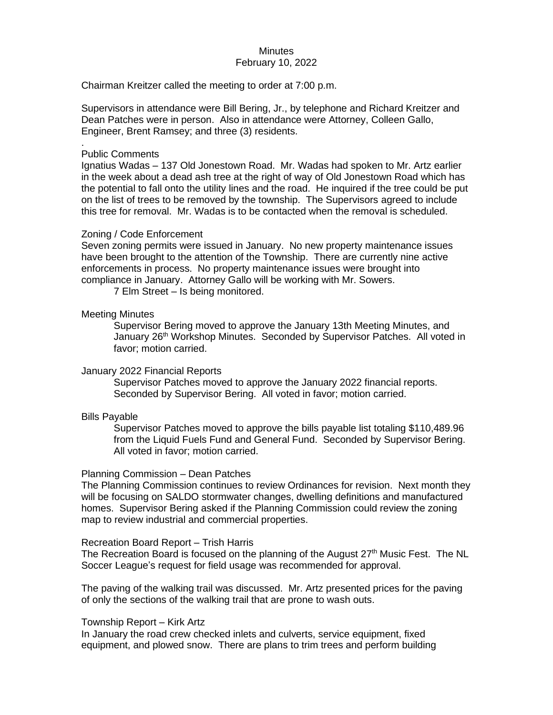## **Minutes** February 10, 2022

Chairman Kreitzer called the meeting to order at 7:00 p.m.

Supervisors in attendance were Bill Bering, Jr., by telephone and Richard Kreitzer and Dean Patches were in person. Also in attendance were Attorney, Colleen Gallo, Engineer, Brent Ramsey; and three (3) residents.

## Public Comments

.

Ignatius Wadas – 137 Old Jonestown Road. Mr. Wadas had spoken to Mr. Artz earlier in the week about a dead ash tree at the right of way of Old Jonestown Road which has the potential to fall onto the utility lines and the road. He inquired if the tree could be put on the list of trees to be removed by the township. The Supervisors agreed to include this tree for removal. Mr. Wadas is to be contacted when the removal is scheduled.

# Zoning / Code Enforcement

Seven zoning permits were issued in January. No new property maintenance issues have been brought to the attention of the Township. There are currently nine active enforcements in process. No property maintenance issues were brought into compliance in January. Attorney Gallo will be working with Mr. Sowers.

7 Elm Street – Is being monitored.

## Meeting Minutes

Supervisor Bering moved to approve the January 13th Meeting Minutes, and January 26<sup>th</sup> Workshop Minutes. Seconded by Supervisor Patches. All voted in favor; motion carried.

## January 2022 Financial Reports

Supervisor Patches moved to approve the January 2022 financial reports. Seconded by Supervisor Bering. All voted in favor; motion carried.

## Bills Payable

Supervisor Patches moved to approve the bills payable list totaling \$110,489.96 from the Liquid Fuels Fund and General Fund. Seconded by Supervisor Bering. All voted in favor; motion carried.

## Planning Commission – Dean Patches

The Planning Commission continues to review Ordinances for revision. Next month they will be focusing on SALDO stormwater changes, dwelling definitions and manufactured homes. Supervisor Bering asked if the Planning Commission could review the zoning map to review industrial and commercial properties.

# Recreation Board Report – Trish Harris

The Recreation Board is focused on the planning of the August  $27<sup>th</sup>$  Music Fest. The NL Soccer League's request for field usage was recommended for approval.

The paving of the walking trail was discussed. Mr. Artz presented prices for the paving of only the sections of the walking trail that are prone to wash outs.

## Township Report – Kirk Artz

In January the road crew checked inlets and culverts, service equipment, fixed equipment, and plowed snow. There are plans to trim trees and perform building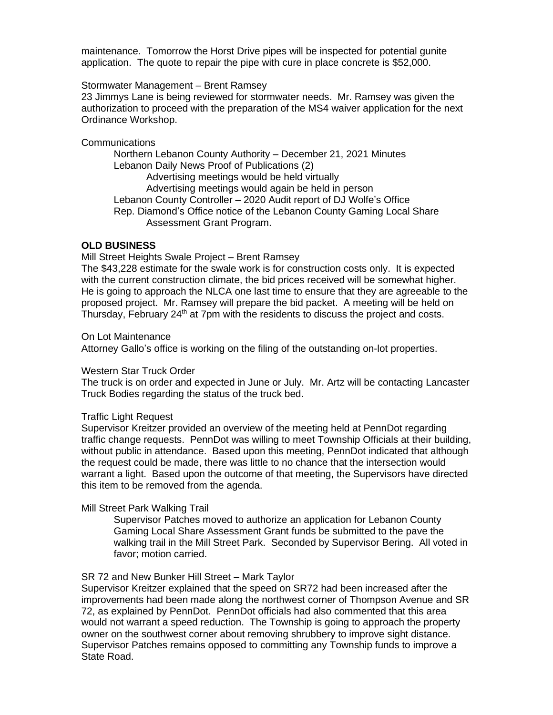maintenance. Tomorrow the Horst Drive pipes will be inspected for potential gunite application. The quote to repair the pipe with cure in place concrete is \$52,000.

# Stormwater Management – Brent Ramsey

23 Jimmys Lane is being reviewed for stormwater needs. Mr. Ramsey was given the authorization to proceed with the preparation of the MS4 waiver application for the next Ordinance Workshop.

## Communications

Northern Lebanon County Authority – December 21, 2021 Minutes Lebanon Daily News Proof of Publications (2) Advertising meetings would be held virtually Advertising meetings would again be held in person Lebanon County Controller – 2020 Audit report of DJ Wolfe's Office Rep. Diamond's Office notice of the Lebanon County Gaming Local Share Assessment Grant Program.

## **OLD BUSINESS**

Mill Street Heights Swale Project – Brent Ramsey

The \$43,228 estimate for the swale work is for construction costs only. It is expected with the current construction climate, the bid prices received will be somewhat higher. He is going to approach the NLCA one last time to ensure that they are agreeable to the proposed project. Mr. Ramsey will prepare the bid packet. A meeting will be held on Thursday, February 24<sup>th</sup> at 7pm with the residents to discuss the project and costs.

On Lot Maintenance

Attorney Gallo's office is working on the filing of the outstanding on-lot properties.

## Western Star Truck Order

The truck is on order and expected in June or July. Mr. Artz will be contacting Lancaster Truck Bodies regarding the status of the truck bed.

## Traffic Light Request

Supervisor Kreitzer provided an overview of the meeting held at PennDot regarding traffic change requests. PennDot was willing to meet Township Officials at their building, without public in attendance. Based upon this meeting, PennDot indicated that although the request could be made, there was little to no chance that the intersection would warrant a light. Based upon the outcome of that meeting, the Supervisors have directed this item to be removed from the agenda.

# Mill Street Park Walking Trail

Supervisor Patches moved to authorize an application for Lebanon County Gaming Local Share Assessment Grant funds be submitted to the pave the walking trail in the Mill Street Park. Seconded by Supervisor Bering. All voted in favor; motion carried.

## SR 72 and New Bunker Hill Street – Mark Taylor

Supervisor Kreitzer explained that the speed on SR72 had been increased after the improvements had been made along the northwest corner of Thompson Avenue and SR 72, as explained by PennDot. PennDot officials had also commented that this area would not warrant a speed reduction. The Township is going to approach the property owner on the southwest corner about removing shrubbery to improve sight distance. Supervisor Patches remains opposed to committing any Township funds to improve a State Road.